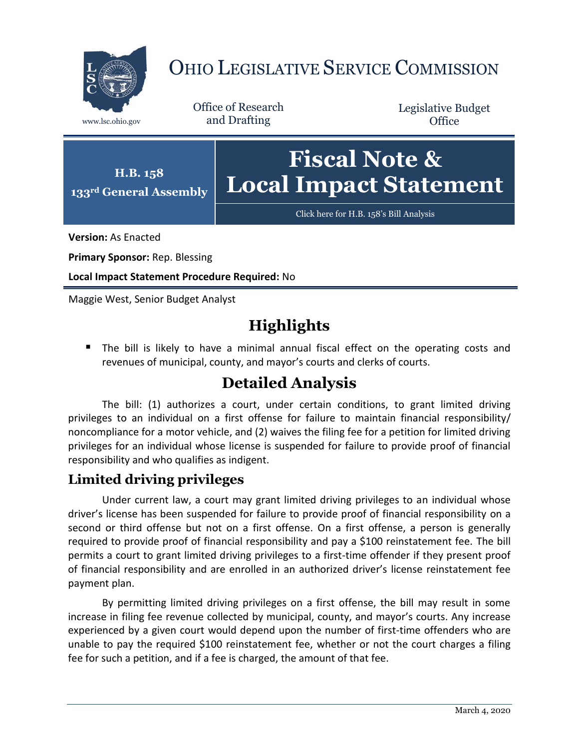

# OHIO LEGISLATIVE SERVICE COMMISSION

Office of Research www.lsc.ohio.gov and Drafting

Legislative Budget **Office** 



[Click here for H.B. 158](https://www.legislature.ohio.gov/legislation/legislation-documents?id=GA133-HB-158)'s Bill Analysis

**Version:** As Enacted

**Primary Sponsor:** Rep. Blessing

**H.B. 158**

**Local Impact Statement Procedure Required:** No

Maggie West, Senior Budget Analyst

# **Highlights**

**The bill is likely to have a minimal annual fiscal effect on the operating costs and** revenues of municipal, county, and mayor's courts and clerks of courts.

## **Detailed Analysis**

The bill: (1) authorizes a court, under certain conditions, to grant limited driving privileges to an individual on a first offense for failure to maintain financial responsibility/ noncompliance for a motor vehicle, and (2) waives the filing fee for a petition for limited driving privileges for an individual whose license is suspended for failure to provide proof of financial responsibility and who qualifies as indigent.

#### **Limited driving privileges**

Under current law, a court may grant limited driving privileges to an individual whose driver's license has been suspended for failure to provide proof of financial responsibility on a second or third offense but not on a first offense. On a first offense, a person is generally required to provide proof of financial responsibility and pay a \$100 reinstatement fee. The bill permits a court to grant limited driving privileges to a first-time offender if they present proof of financial responsibility and are enrolled in an authorized driver's license reinstatement fee payment plan.

By permitting limited driving privileges on a first offense, the bill may result in some increase in filing fee revenue collected by municipal, county, and mayor's courts. Any increase experienced by a given court would depend upon the number of first-time offenders who are unable to pay the required \$100 reinstatement fee, whether or not the court charges a filing fee for such a petition, and if a fee is charged, the amount of that fee.